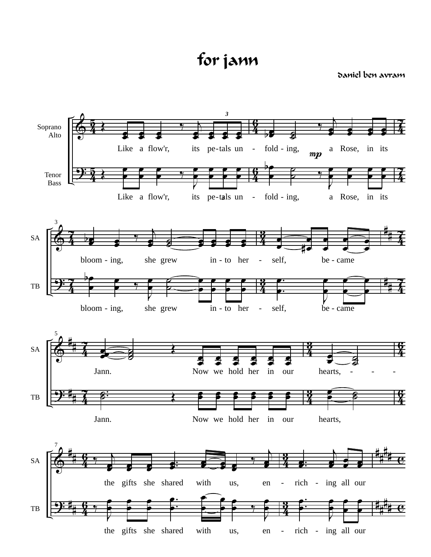for jann

daniel ben avram